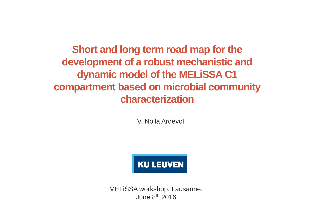**Short and long term road map for the development of a robust mechanistic and dynamic model of the MELiSSA C1 compartment based on microbial community characterization**

V. Nolla Ardèvol



MELiSSA workshop. Lausanne. June  $8<sup>th</sup>$  2016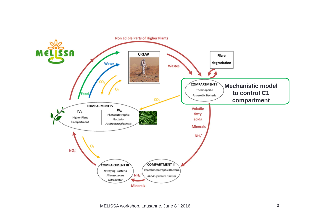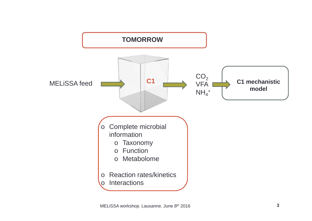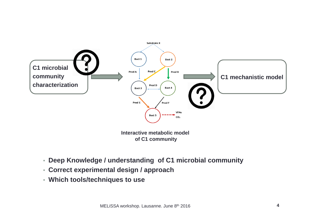

**of C1 community**

- **Deep Knowledge / understanding of C1 microbial community**
- **Correct experimental design / approach**
- **Which tools/techniques to use**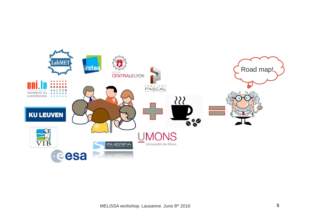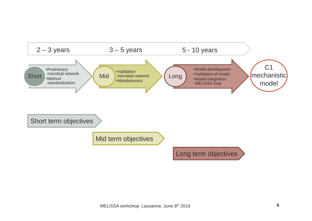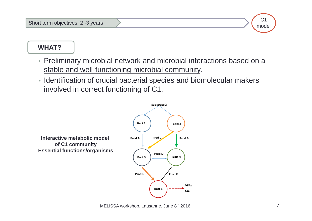

- Preliminary microbial network and microbial interactions based on a stable and well-functioning microbial community.
- Identification of crucial bacterial species and biomolecular makers involved in correct functioning of C1.



C1 model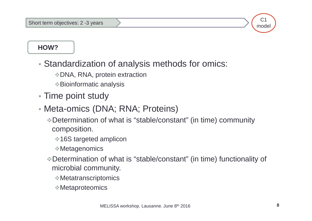$C<sub>1</sub>$ model

**HOW?**

- Standardization of analysis methods for omics:
	- DNA, RNA, protein extraction
	- Bioinformatic analysis
- Time point study
- Meta-omics (DNA; RNA; Proteins)
	- Determination of what is "stable/constant" (in time) community composition.
		- **❖ 16S targeted amplicon**
		- Metagenomics
	- Determination of what is "stable/constant" (in time) functionality of microbial community.
		- Metatranscriptomics
		- Metaproteomics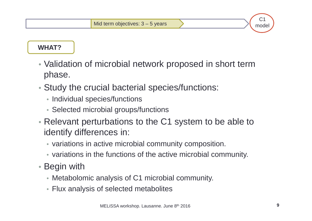### **WHAT?**

- Validation of microbial network proposed in short term phase.
- Study the crucial bacterial species/functions:
	- Individual species/functions
	- Selected microbial groups/functions
- Relevant perturbations to the C1 system to be able to identify differences in:
	- variations in active microbial community composition.
	- variations in the functions of the active microbial community.
- Begin with
	- Metabolomic analysis of C1 microbial community.
	- Flux analysis of selected metabolites

 $C<sub>1</sub>$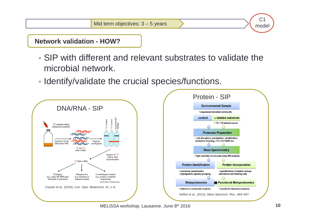**Network validation - HOW?**

- SIP with different and relevant substrates to validate the microbial network.
- Identify/validate the crucial species/functions.





**10**

 $C<sub>1</sub>$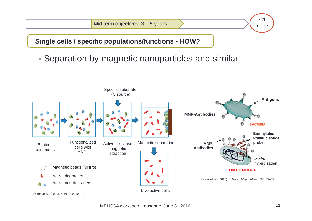Mid term objectives:  $3 - 5$  years

**11** $C<sub>1</sub>$ model

**Single cells / specific populations/functions - HOW?**

• Separation by magnetic nanoparticles and similar.

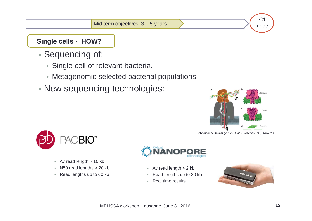$C<sub>1</sub>$ model

**12**

### **Single cells - HOW?**

- Sequencing of:
	- Single cell of relevant bacteria.
	- Metagenomic selected bacterial populations.
- New sequencing technologies:



Schneider & Dekker (2012). *Nat. Biotechnol.* 30, 326–328.



- Av read length > 10 kb
- N50 read lengths > 20 kb
- Read lengths up to 60 kb



- Av read length > 2 kb
- •Read lengths up to 30 kb
- •Real time results

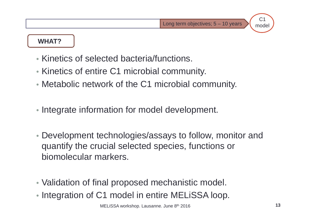**13**

 $C<sub>1</sub>$ model

#### **WHAT?**

- Kinetics of selected bacteria/functions.
- Kinetics of entire C1 microbial community.
- Metabolic network of the C1 microbial community.
- Integrate information for model development.
- Development technologies/assays to follow, monitor and quantify the crucial selected species, functions or biomolecular markers.
- Validation of final proposed mechanistic model.
- Integration of C1 model in entire MELiSSA loop.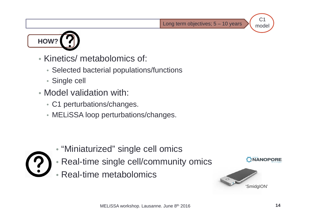

- Kinetics/ metabolomics of:
	- Selected bacterial populations/functions
	- Single cell
- Model validation with:
	- C1 perturbations/changes.
	- MELiSSA loop perturbations/changes.



- "Miniaturized" single cell omics
- Real-time single cell/community omics
- •Real-time metabolomics



**14**

 $C<sub>1</sub>$ model

**NANOPORE**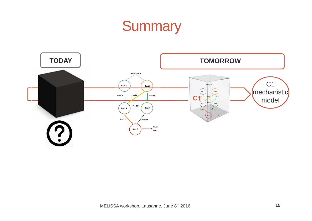# **Summary**